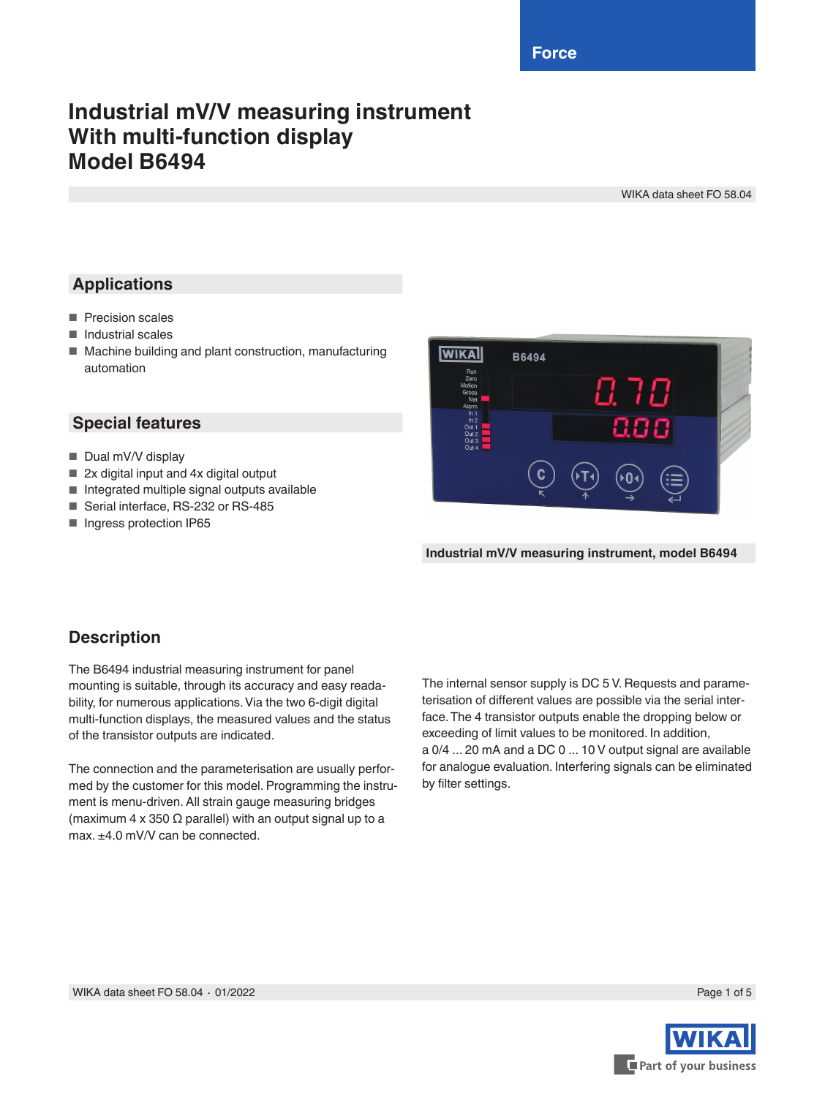**Force**

# **Industrial mV/V measuring instrument With multi-function display Model B6494**

WIKA data sheet FO 58.04

### **Applications**

- Precision scales
- Industrial scales
- Machine building and plant construction, manufacturing automation

#### **Special features**

- Dual mV/V display
- 2x digital input and 4x digital output
- Integrated multiple signal outputs available
- Serial interface, RS-232 or RS-485
- Ingress protection IP65



**Industrial mV/V measuring instrument, model B6494**

#### **Description**

The B6494 industrial measuring instrument for panel mounting is suitable, through its accuracy and easy readability, for numerous applications. Via the two 6-digit digital multi-function displays, the measured values and the status of the transistor outputs are indicated.

The connection and the parameterisation are usually performed by the customer for this model. Programming the instrument is menu-driven. All strain gauge measuring bridges (maximum 4 x 350  $\Omega$  parallel) with an output signal up to a max.  $+4.0$  mV/V can be connected.

The internal sensor supply is DC 5 V. Requests and parameterisation of different values are possible via the serial interface. The 4 transistor outputs enable the dropping below or exceeding of limit values to be monitored. In addition, a 0/4 ... 20 mA and a DC 0 ... 10 V output signal are available for analogue evaluation. Interfering signals can be eliminated by filter settings.

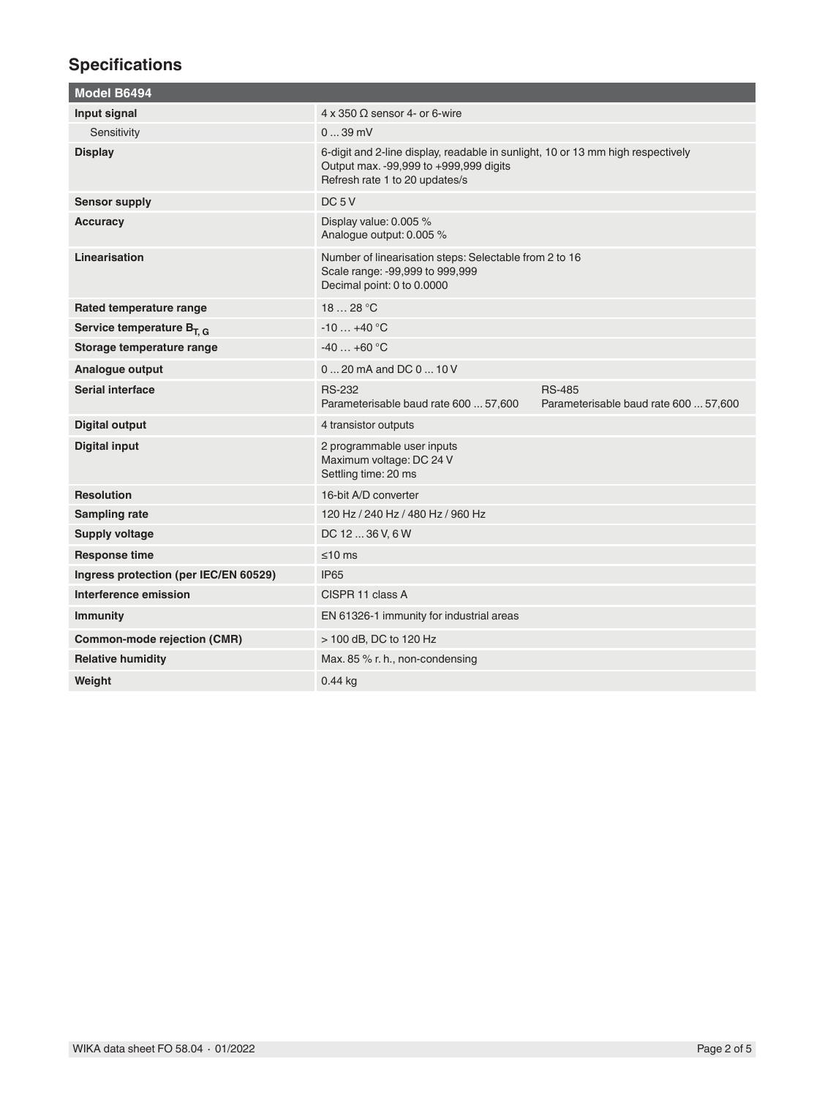## **Specifications**

| Model B6494                           |                                                                                                                                                             |                                                        |
|---------------------------------------|-------------------------------------------------------------------------------------------------------------------------------------------------------------|--------------------------------------------------------|
| Input signal                          | $4 \times 350 \Omega$ sensor 4- or 6-wire                                                                                                                   |                                                        |
| Sensitivity                           | $039$ mV                                                                                                                                                    |                                                        |
| <b>Display</b>                        | 6-digit and 2-line display, readable in sunlight, 10 or 13 mm high respectively<br>Output max. -99,999 to +999,999 digits<br>Refresh rate 1 to 20 updates/s |                                                        |
| <b>Sensor supply</b>                  | DC <sub>5</sub> V                                                                                                                                           |                                                        |
| Accuracy                              | Display value: 0.005 %<br>Analogue output: 0.005 %                                                                                                          |                                                        |
| Linearisation                         | Number of linearisation steps: Selectable from 2 to 16<br>Scale range: -99,999 to 999,999<br>Decimal point: 0 to 0.0000                                     |                                                        |
| Rated temperature range               | 1828 °C                                                                                                                                                     |                                                        |
| Service temperature $B_{T,G}$         | $-10+40$ °C                                                                                                                                                 |                                                        |
| Storage temperature range             | $-40+60$ °C                                                                                                                                                 |                                                        |
| Analogue output                       | $020$ mA and DC $010V$                                                                                                                                      |                                                        |
| Serial interface                      | <b>RS-232</b><br>Parameterisable baud rate 600  57,600                                                                                                      | <b>RS-485</b><br>Parameterisable baud rate 600  57,600 |
| <b>Digital output</b>                 | 4 transistor outputs                                                                                                                                        |                                                        |
| <b>Digital input</b>                  | 2 programmable user inputs<br>Maximum voltage: DC 24 V<br>Settling time: 20 ms                                                                              |                                                        |
| <b>Resolution</b>                     | 16-bit A/D converter                                                                                                                                        |                                                        |
| <b>Sampling rate</b>                  | 120 Hz / 240 Hz / 480 Hz / 960 Hz                                                                                                                           |                                                        |
| <b>Supply voltage</b>                 | DC 12  36 V, 6 W                                                                                                                                            |                                                        |
| <b>Response time</b>                  | $≤10$ ms                                                                                                                                                    |                                                        |
| Ingress protection (per IEC/EN 60529) | <b>IP65</b>                                                                                                                                                 |                                                        |
| Interference emission                 | CISPR 11 class A                                                                                                                                            |                                                        |
| <b>Immunity</b>                       | EN 61326-1 immunity for industrial areas                                                                                                                    |                                                        |
| <b>Common-mode rejection (CMR)</b>    | > 100 dB, DC to 120 Hz                                                                                                                                      |                                                        |
| <b>Relative humidity</b>              | Max. 85 % r. h., non-condensing                                                                                                                             |                                                        |
| Weight                                | $0.44$ kg                                                                                                                                                   |                                                        |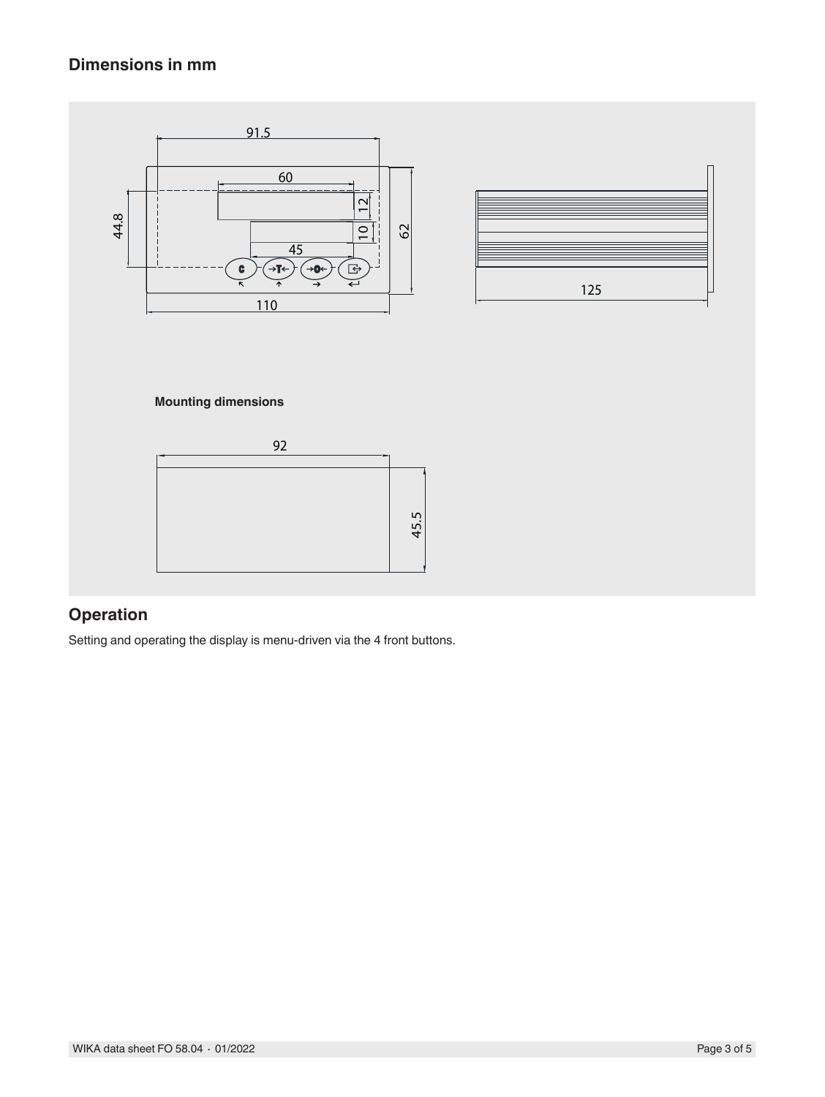## **Dimensions in mm**



## **Operation**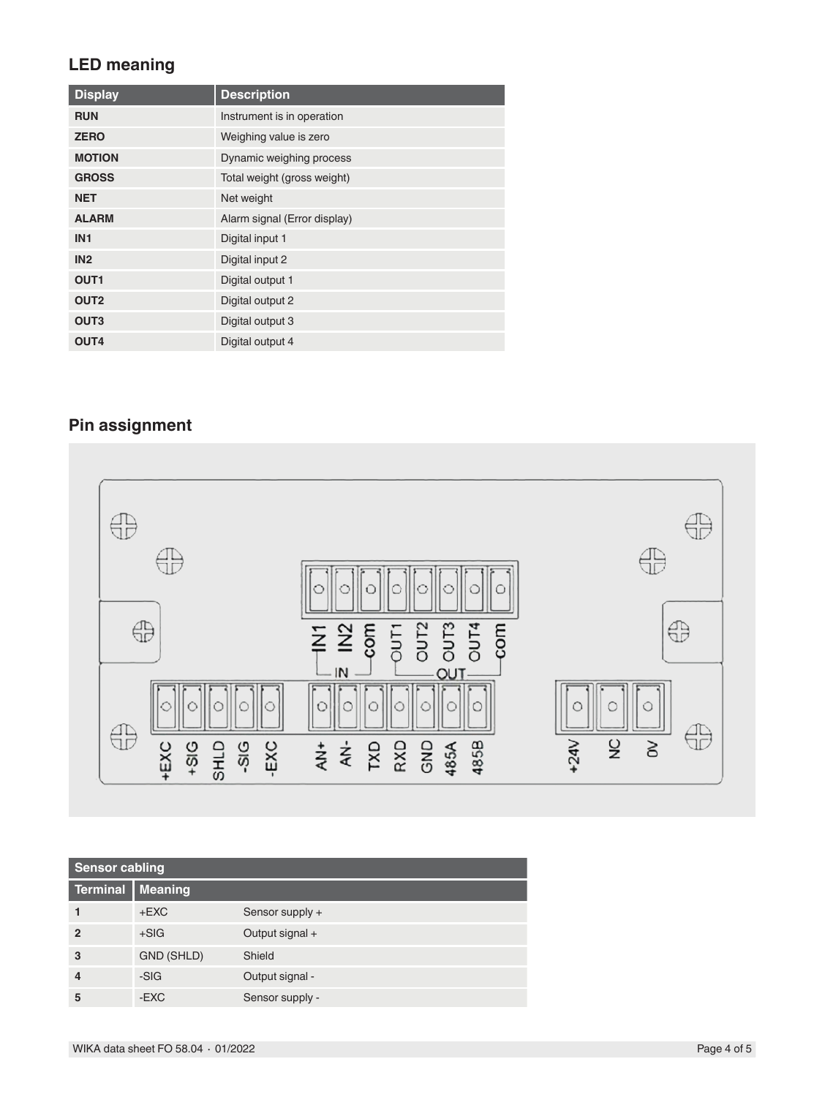### **LED meaning**

| <b>Display</b>   | <b>Description</b>           |
|------------------|------------------------------|
| <b>RUN</b>       | Instrument is in operation   |
| <b>ZERO</b>      | Weighing value is zero       |
| <b>MOTION</b>    | Dynamic weighing process     |
| <b>GROSS</b>     | Total weight (gross weight)  |
| <b>NET</b>       | Net weight                   |
| <b>ALARM</b>     | Alarm signal (Error display) |
| IN <sub>1</sub>  | Digital input 1              |
| IN2              | Digital input 2              |
| OUT <sub>1</sub> | Digital output 1             |
| OUT <sub>2</sub> | Digital output 2             |
| OUT <sub>3</sub> | Digital output 3             |
| OUT4             | Digital output 4             |

# **Pin assignment**



| <b>Sensor cabling</b> |                |                 |
|-----------------------|----------------|-----------------|
| Terminal              | <b>Meaning</b> |                 |
|                       | $+EXC$         | Sensor supply + |
| $\overline{2}$        | $+SIG$         | Output signal + |
| 3                     | GND (SHLD)     | Shield          |
| 4                     | -SIG           | Output signal - |
| 5                     | -EXC           | Sensor supply - |